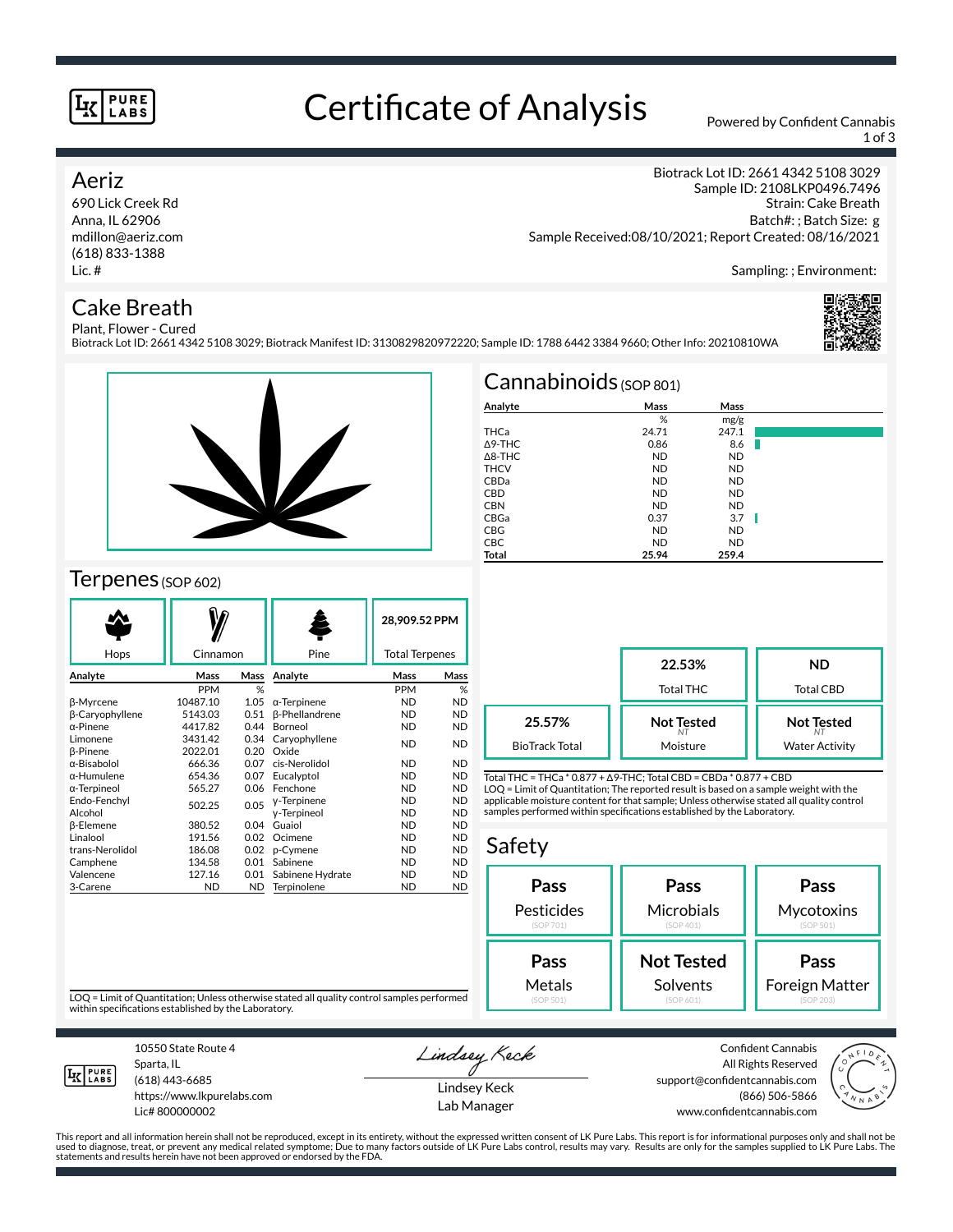#### **PURE** LABS

# Certificate of Analysis Powered by Confident Cannabis

1 of 3

Biotrack Lot ID: 2661 4342 5108 3029 Sample ID: 2108LKP0496.7496

### Aeriz

690 Lick Creek Rd Anna, IL 62906 mdillon@aeriz.com (618) 833-1388 Lic. #

## Cake Breath

Strain: Cake Breath Batch#: ; Batch Size: g Sample Received:08/10/2021; Report Created: 08/16/2021

Sampling: ; Environment:

#### Plant, Flower - Cured Biotrack Lot ID: 2661 4342 5108 3029; Biotrack Manifest ID: 3130829820972220; Sample ID: 1788 6442 3384 9660; Other Info: 20210810WA





## Terpenes (SOP 602)

| Hops                   | Cinnamon  |      | Pine                  |           | 28.909.52 PPM<br><b>Total Terpenes</b> |  |
|------------------------|-----------|------|-----------------------|-----------|----------------------------------------|--|
|                        |           |      |                       |           |                                        |  |
| Analyte                | Mass      | Mass | Analyte               | Mass      | Mass                                   |  |
|                        | PPM       | %    |                       | PPM       | %                                      |  |
| <b>ß-Myrcene</b>       | 10487.10  | 1.05 | $\alpha$ -Terpinene   | <b>ND</b> | <b>ND</b>                              |  |
| <b>ß-Caryophyllene</b> | 5143.03   | 0.51 | <b>ß-Phellandrene</b> | <b>ND</b> | <b>ND</b>                              |  |
| $\alpha$ -Pinene       | 4417.82   | 0.44 | Borneol               | <b>ND</b> | <b>ND</b>                              |  |
| Limonene               | 3431.42   | 0.34 | Caryophyllene         | <b>ND</b> | <b>ND</b>                              |  |
| <b>B-Pinene</b>        | 2022.01   | 0.20 | Oxide                 |           |                                        |  |
| α-Bisabolol            | 666.36    | 0.07 | cis-Nerolidol         | <b>ND</b> | <b>ND</b>                              |  |
| α-Humulene             | 654.36    | 0.07 | Eucalyptol            | <b>ND</b> | <b>ND</b>                              |  |
| α-Terpineol            | 565.27    | 0.06 | Fenchone              | <b>ND</b> | <b>ND</b>                              |  |
| Endo-Fenchyl           | 502.25    | 0.05 | y-Terpinene           | <b>ND</b> | <b>ND</b>                              |  |
| Alcohol                |           |      | y-Terpineol           | <b>ND</b> | <b>ND</b>                              |  |
| <b>ß-Elemene</b>       | 380.52    | 0.04 | Guaiol                | <b>ND</b> | <b>ND</b>                              |  |
| Linalool               | 191.56    | 0.02 | Ocimene               | <b>ND</b> | <b>ND</b>                              |  |
| trans-Nerolidol        | 186.08    | 0.02 | p-Cymene              | <b>ND</b> | <b>ND</b>                              |  |
| Camphene               | 134.58    | 0.01 | Sabinene              | <b>ND</b> | <b>ND</b>                              |  |
| Valencene              | 127.16    | 0.01 | Sabinene Hydrate      | <b>ND</b> | <b>ND</b>                              |  |
| 3-Carene               | <b>ND</b> | ND.  | Terpinolene           | <b>ND</b> | <b>ND</b>                              |  |
|                        |           |      |                       |           |                                        |  |

| $Cannabinoids$ (SOP 801) |           |           |  |  |  |  |  |
|--------------------------|-----------|-----------|--|--|--|--|--|
| Analyte                  | Mass      | Mass      |  |  |  |  |  |
|                          | %         | mg/g      |  |  |  |  |  |
| THCa                     | 24.71     | 247.1     |  |  |  |  |  |
| A9-THC                   | 0.86      | 8.6       |  |  |  |  |  |
| $\triangle$ 8-THC        | <b>ND</b> | <b>ND</b> |  |  |  |  |  |
| <b>THCV</b>              | <b>ND</b> | <b>ND</b> |  |  |  |  |  |
| CBDa                     | <b>ND</b> | <b>ND</b> |  |  |  |  |  |
| <b>CBD</b>               | <b>ND</b> | <b>ND</b> |  |  |  |  |  |
| <b>CBN</b>               | <b>ND</b> | <b>ND</b> |  |  |  |  |  |
| CBGa                     | 0.37      | 3.7       |  |  |  |  |  |
| <b>CBG</b>               | <b>ND</b> | <b>ND</b> |  |  |  |  |  |
| <b>CBC</b>               | <b>ND</b> | <b>ND</b> |  |  |  |  |  |
| Total                    | 25.94     | 259.4     |  |  |  |  |  |

|                       | 22.53%<br>Total THC | <b>ND</b><br><b>Total CBD</b> |  |
|-----------------------|---------------------|-------------------------------|--|
| 25.57%                | <b>Not Tested</b>   | <b>Not Tested</b>             |  |
| <b>BioTrack Total</b> | Moisture            | <b>Water Activity</b>         |  |

Total THC = THCa \* 0.877 + ∆9-THC; Total CBD = CBDa \* 0.877 + CBD LOQ = Limit of Quantitation; The reported result is based on a sample weight with the applicable moisture content for that sample; Unless otherwise stated all quality control samples performed within specifications established by the Laboratory.

### Safety



LOQ = Limit of Quantitation; Unless otherwise stated all quality control samples performed within specifications established by the Laboratory.



Sparta, IL (618) 443-6685

10550 State Route 4

https://www.lkpurelabs.com Lic# 800000002

Lindsey Keck Lindsey Keck

Lab Manager

Confident Cannabis All Rights Reserved support@confidentcannabis.com (866) 506-5866 www.confidentcannabis.com



This report and all information herein shall not be reproduced, except in its entirety, without the expressed written consent of LK Pure Labs. This report is for informational purposes only and shall not be<br>used to diagnos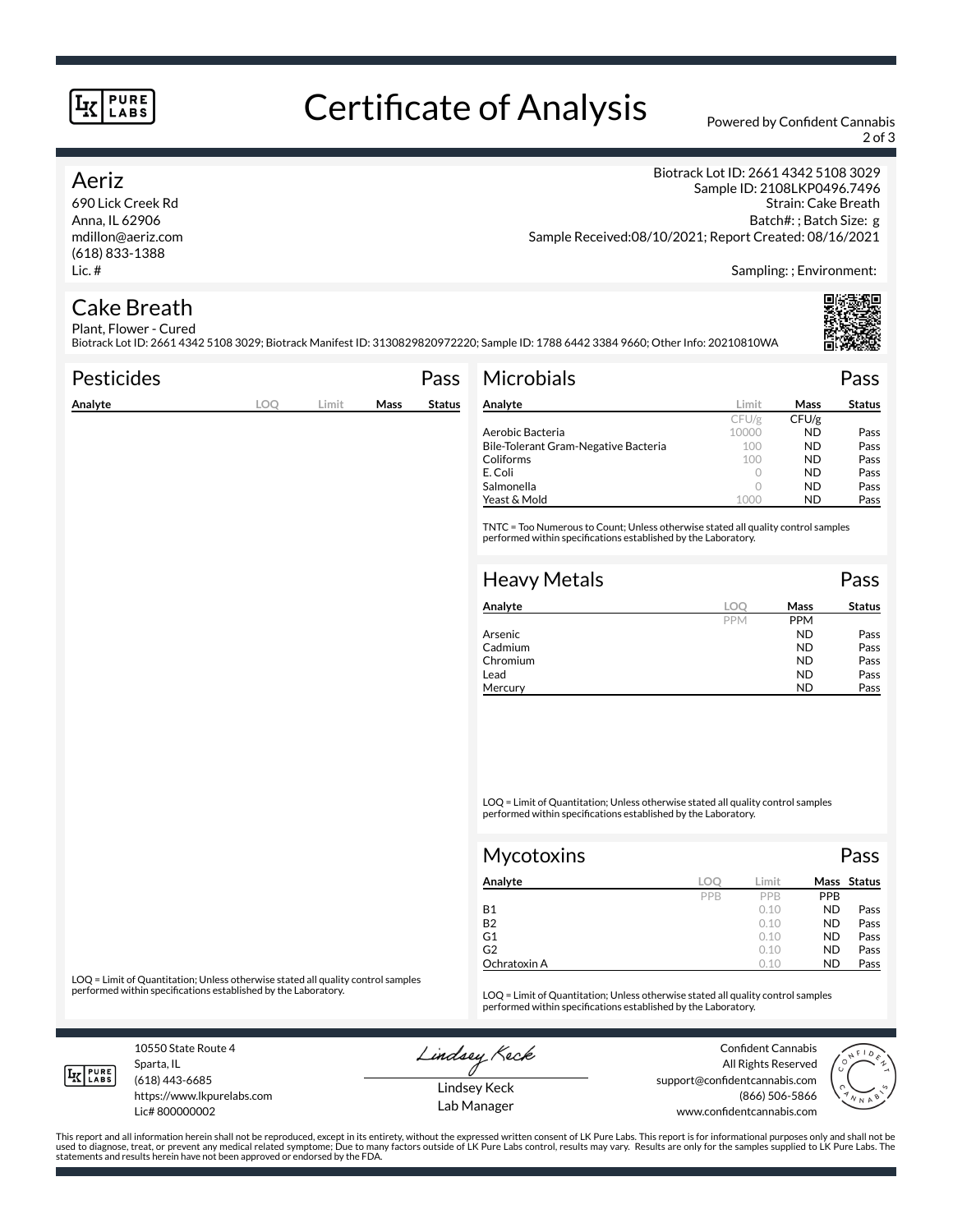#### **PURE LABS**

# Certificate of Analysis Powered by Confident Cannabis

2 of 3

### Aeriz

690 Lick Creek Rd Anna, IL 62906 mdillon@aeriz.com (618) 833-1388 Lic. #

Biotrack Lot ID: 2661 4342 5108 3029 Sample ID: 2108LKP0496.7496 Strain: Cake Breath Batch#: ; Batch Size: g Sample Received:08/10/2021; Report Created: 08/16/2021

Sampling: ; Environment:

#### Cake Breath Plant, Flower - Cured

Biotrack Lot ID: 2661 4342 5108 3029; Biotrack Manifest ID: 3130829820972220; Sample ID: 1788 6442 3384 9660; Other Info: 20210810WA

| <b>Pesticides</b> |      |       |      | Pass   | <b>Microbials</b>                                                                                                                                   |            |            | Pass          |
|-------------------|------|-------|------|--------|-----------------------------------------------------------------------------------------------------------------------------------------------------|------------|------------|---------------|
| Analyte           | LOO. | Limit | Mass | Status | Analyte                                                                                                                                             | Limit      | Mass       | <b>Status</b> |
|                   |      |       |      |        |                                                                                                                                                     | CFU/g      | CFU/g      |               |
|                   |      |       |      |        | Aerobic Bacteria                                                                                                                                    | 10000      | ND.        | Pass          |
|                   |      |       |      |        | Bile-Tolerant Gram-Negative Bacteria                                                                                                                | 100        | <b>ND</b>  | Pass          |
|                   |      |       |      |        | Coliforms                                                                                                                                           | 100        | ND.        | Pass          |
|                   |      |       |      |        | E. Coli                                                                                                                                             | $\circ$    | ND.        | Pass          |
|                   |      |       |      |        | Salmonella                                                                                                                                          | $\circ$    | ND.        | Pass          |
|                   |      |       |      |        | Yeast & Mold                                                                                                                                        | 1000       | ND.        | Pass          |
|                   |      |       |      |        | TNTC = Too Numerous to Count; Unless otherwise stated all quality control samples<br>performed within specifications established by the Laboratory. |            |            |               |
|                   |      |       |      |        | <b>Heavy Metals</b>                                                                                                                                 |            |            | Pass          |
|                   |      |       |      |        | Analyte                                                                                                                                             | LOO        | Mass       | <b>Status</b> |
|                   |      |       |      |        |                                                                                                                                                     | <b>PPM</b> | <b>PPM</b> |               |

Chromium

LOQ = Limit of Quantitation; Unless otherwise stated all quality control samples performed within specifications established by the Laboratory.

|     |       |            | Pass        |
|-----|-------|------------|-------------|
| LOC | Limit |            | Mass Status |
| PPB | PPB   | <b>PPB</b> |             |
|     | 0.10  | <b>ND</b>  | Pass        |
|     | 0.10  | <b>ND</b>  | Pass        |
|     | 0.10  | <b>ND</b>  | Pass        |
|     | 0.10  | <b>ND</b>  | Pass        |
|     | 0.10  | <b>ND</b>  | Pass        |
|     |       |            |             |

Arsenic **And Pass Arsenic Contract Contract Contract Contract Contract Pass** Cadmium ND Pass<br>
Chromium ND Pass

Lead **ND** Pass Mercury **ND** Pass

LOQ = Limit of Quantitation; Unless otherwise stated all quality control samples<br>performed within specifications established by the Laboratory.

LOQ = Limit of Quantitation; Unless otherwise stated all quality control samples performed within specifications established by the Laboratory.

10550 State Route 4 Sparta, IL (618) 443-6685

**LK** LABS

Lic# 800000002

https://www.lkpurelabs.com

Lindsey Keck



Lindsey Keck Lab Manager

All Rights Reserved support@confidentcannabis.com (866) 506-5866 www.confidentcannabis.com

This report and all information herein shall not be reproduced, except in its entirety, without the expressed written consent of LK Pure Labs. This report is for informational purposes only and shall not be<br>used to diagnos statements and results herein have not been approved or endorsed by the FDA.